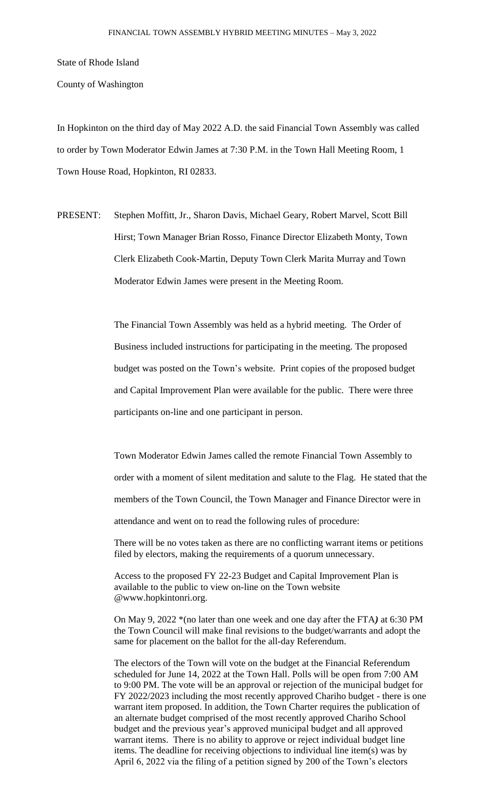State of Rhode Island

County of Washington

In Hopkinton on the third day of May 2022 A.D. the said Financial Town Assembly was called to order by Town Moderator Edwin James at 7:30 P.M. in the Town Hall Meeting Room, 1 Town House Road, Hopkinton, RI 02833.

PRESENT: Stephen Moffitt, Jr., Sharon Davis, Michael Geary, Robert Marvel, Scott Bill Hirst; Town Manager Brian Rosso, Finance Director Elizabeth Monty, Town Clerk Elizabeth Cook-Martin, Deputy Town Clerk Marita Murray and Town Moderator Edwin James were present in the Meeting Room.

> The Financial Town Assembly was held as a hybrid meeting. The Order of Business included instructions for participating in the meeting. The proposed budget was posted on the Town's website. Print copies of the proposed budget and Capital Improvement Plan were available for the public. There were three participants on-line and one participant in person.

Town Moderator Edwin James called the remote Financial Town Assembly to order with a moment of silent meditation and salute to the Flag. He stated that the members of the Town Council, the Town Manager and Finance Director were in attendance and went on to read the following rules of procedure:

There will be no votes taken as there are no conflicting warrant items or petitions filed by electors, making the requirements of a quorum unnecessary.

Access to the proposed FY 22-23 Budget and Capital Improvement Plan is available to the public to view on-line on the Town website @www.hopkintonri.org.

On May 9, 2022 \*(no later than one week and one day after the FTA*)* at 6:30 PM the Town Council will make final revisions to the budget/warrants and adopt the same for placement on the ballot for the all-day Referendum.

The electors of the Town will vote on the budget at the Financial Referendum scheduled for June 14, 2022 at the Town Hall. Polls will be open from 7:00 AM to 9:00 PM. The vote will be an approval or rejection of the municipal budget for FY 2022/2023 including the most recently approved Chariho budget - there is one warrant item proposed. In addition, the Town Charter requires the publication of an alternate budget comprised of the most recently approved Chariho School budget and the previous year's approved municipal budget and all approved warrant items. There is no ability to approve or reject individual budget line items. The deadline for receiving objections to individual line item(s) was by April 6, 2022 via the filing of a petition signed by 200 of the Town's electors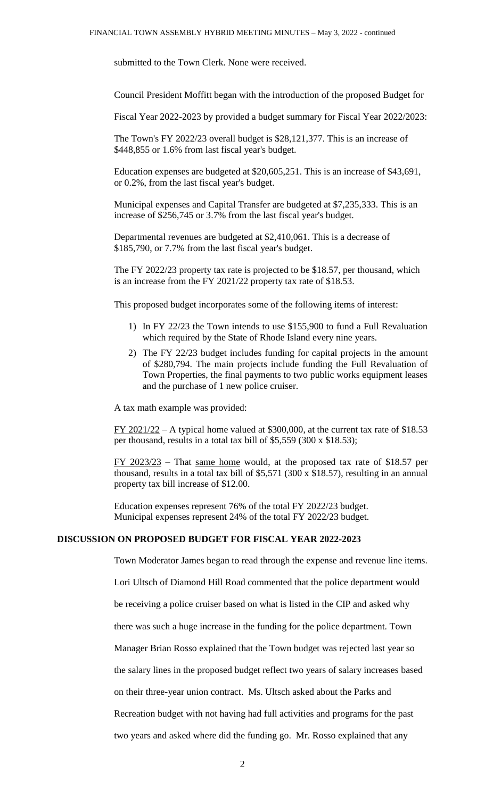submitted to the Town Clerk. None were received.

Council President Moffitt began with the introduction of the proposed Budget for

Fiscal Year 2022-2023 by provided a budget summary for Fiscal Year 2022/2023:

The Town's FY 2022/23 overall budget is \$28,121,377. This is an increase of \$448,855 or 1.6% from last fiscal year's budget.

Education expenses are budgeted at \$20,605,251. This is an increase of \$43,691, or 0.2%, from the last fiscal year's budget.

Municipal expenses and Capital Transfer are budgeted at \$7,235,333. This is an increase of \$256,745 or 3.7% from the last fiscal year's budget.

Departmental revenues are budgeted at \$2,410,061. This is a decrease of \$185,790, or 7.7% from the last fiscal year's budget.

The FY 2022/23 property tax rate is projected to be \$18.57, per thousand, which is an increase from the FY 2021/22 property tax rate of \$18.53.

This proposed budget incorporates some of the following items of interest:

- 1) In FY 22/23 the Town intends to use \$155,900 to fund a Full Revaluation which required by the State of Rhode Island every nine years.
- 2) The FY 22/23 budget includes funding for capital projects in the amount of \$280,794. The main projects include funding the Full Revaluation of Town Properties, the final payments to two public works equipment leases and the purchase of 1 new police cruiser.

A tax math example was provided:

 $FY$  2021/22 – A typical home valued at \$300,000, at the current tax rate of \$18.53 per thousand, results in a total tax bill of \$5,559 (300 x \$18.53);

FY 2023/23 – That same home would, at the proposed tax rate of \$18.57 per thousand, results in a total tax bill of \$5,571 (300 x \$18.57), resulting in an annual property tax bill increase of \$12.00.

Education expenses represent 76% of the total FY 2022/23 budget. Municipal expenses represent 24% of the total FY 2022/23 budget.

## **DISCUSSION ON PROPOSED BUDGET FOR FISCAL YEAR 2022-2023**

Town Moderator James began to read through the expense and revenue line items.

Lori Ultsch of Diamond Hill Road commented that the police department would

be receiving a police cruiser based on what is listed in the CIP and asked why

there was such a huge increase in the funding for the police department. Town

Manager Brian Rosso explained that the Town budget was rejected last year so

the salary lines in the proposed budget reflect two years of salary increases based

on their three-year union contract. Ms. Ultsch asked about the Parks and

Recreation budget with not having had full activities and programs for the past

two years and asked where did the funding go. Mr. Rosso explained that any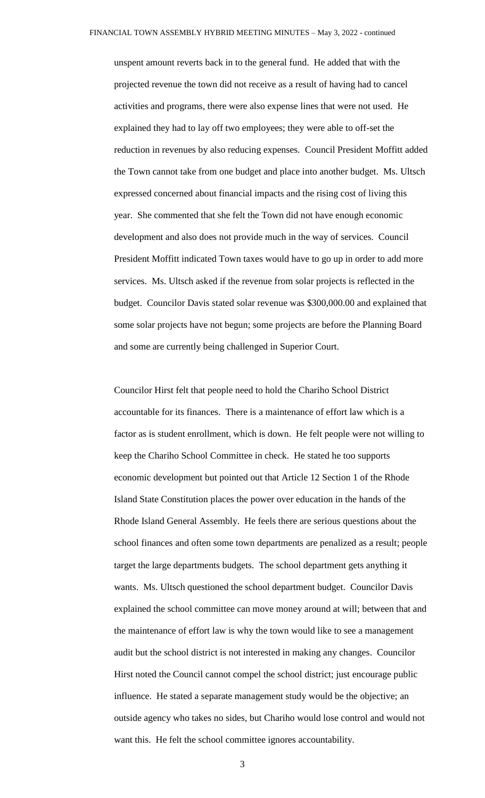unspent amount reverts back in to the general fund. He added that with the projected revenue the town did not receive as a result of having had to cancel activities and programs, there were also expense lines that were not used. He explained they had to lay off two employees; they were able to off-set the reduction in revenues by also reducing expenses. Council President Moffitt added the Town cannot take from one budget and place into another budget. Ms. Ultsch expressed concerned about financial impacts and the rising cost of living this year. She commented that she felt the Town did not have enough economic development and also does not provide much in the way of services. Council President Moffitt indicated Town taxes would have to go up in order to add more services. Ms. Ultsch asked if the revenue from solar projects is reflected in the budget. Councilor Davis stated solar revenue was \$300,000.00 and explained that some solar projects have not begun; some projects are before the Planning Board and some are currently being challenged in Superior Court.

Councilor Hirst felt that people need to hold the Chariho School District accountable for its finances. There is a maintenance of effort law which is a factor as is student enrollment, which is down. He felt people were not willing to keep the Chariho School Committee in check. He stated he too supports economic development but pointed out that Article 12 Section 1 of the Rhode Island State Constitution places the power over education in the hands of the Rhode Island General Assembly. He feels there are serious questions about the school finances and often some town departments are penalized as a result; people target the large departments budgets. The school department gets anything it wants. Ms. Ultsch questioned the school department budget. Councilor Davis explained the school committee can move money around at will; between that and the maintenance of effort law is why the town would like to see a management audit but the school district is not interested in making any changes. Councilor Hirst noted the Council cannot compel the school district; just encourage public influence. He stated a separate management study would be the objective; an outside agency who takes no sides, but Chariho would lose control and would not want this. He felt the school committee ignores accountability.

3